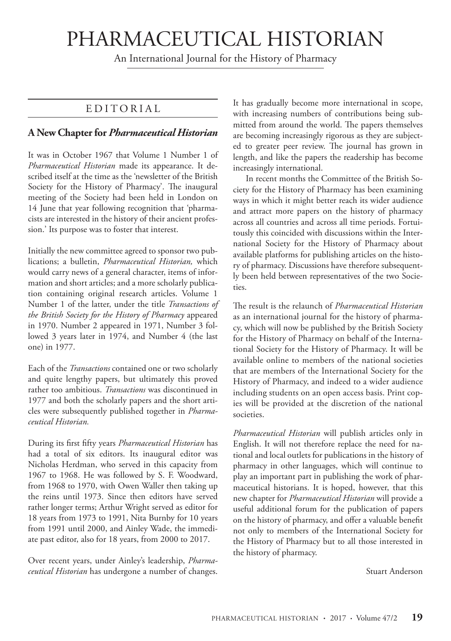# PHARMACEUTICAL HISTORIAN

An International Journal for the History of Pharmacy

## EDITORIAL

### **A New Chapter for** *Pharmaceutical Historian*

It was in October 1967 that Volume 1 Number 1 of *Pharmaceutical Historian* made its appearance. It described itself at the time as the 'newsletter of the British Society for the History of Pharmacy'. The inaugural meeting of the Society had been held in London on 14 June that year following recognition that 'pharmacists are interested in the history of their ancient profession.' Its purpose was to foster that interest.

Initially the new committee agreed to sponsor two publications; a bulletin, *Pharmaceutical Historian,* which would carry news of a general character, items of information and short articles; and a more scholarly publication containing original research articles. Volume 1 Number 1 of the latter, under the title *Transactions of the British Society for the History of Pharmacy* appeared in 1970. Number 2 appeared in 1971, Number 3 followed 3 years later in 1974, and Number 4 (the last one) in 1977.

Each of the *Transactions* contained one or two scholarly and quite lengthy papers, but ultimately this proved rather too ambitious. *Transactions* was discontinued in 1977 and both the scholarly papers and the short articles were subsequently published together in *Pharmaceutical Historian.*

During its first fifty years *Pharmaceutical Historian* has had a total of six editors. Its inaugural editor was Nicholas Herdman, who served in this capacity from 1967 to 1968. He was followed by S. F. Woodward, from 1968 to 1970, with Owen Waller then taking up the reins until 1973. Since then editors have served rather longer terms; Arthur Wright served as editor for 18 years from 1973 to 1991, Nita Burnby for 10 years from 1991 until 2000, and Ainley Wade, the immediate past editor, also for 18 years, from 2000 to 2017.

Over recent years, under Ainley's leadership, *Pharmaceutical Historian* has undergone a number of changes. It has gradually become more international in scope, with increasing numbers of contributions being submitted from around the world. The papers themselves are becoming increasingly rigorous as they are subjected to greater peer review. The journal has grown in length, and like the papers the readership has become increasingly international.

In recent months the Committee of the British Society for the History of Pharmacy has been examining ways in which it might better reach its wider audience and attract more papers on the history of pharmacy across all countries and across all time periods. Fortuitously this coincided with discussions within the International Society for the History of Pharmacy about available platforms for publishing articles on the history of pharmacy. Discussions have therefore subsequently been held between representatives of the two Societies.

The result is the relaunch of *Pharmaceutical Historian* as an international journal for the history of pharmacy, which will now be published by the British Society for the History of Pharmacy on behalf of the International Society for the History of Pharmacy. It will be available online to members of the national societies that are members of the International Society for the History of Pharmacy, and indeed to a wider audience including students on an open access basis. Print copies will be provided at the discretion of the national societies.

*Pharmaceutical Historian* will publish articles only in English. It will not therefore replace the need for national and local outlets for publications in the history of pharmacy in other languages, which will continue to play an important part in publishing the work of pharmaceutical historians. It is hoped, however, that this new chapter for *Pharmaceutical Historian* will provide a useful additional forum for the publication of papers on the history of pharmacy, and offer a valuable benefit not only to members of the International Society for the History of Pharmacy but to all those interested in the history of pharmacy.

Stuart Anderson